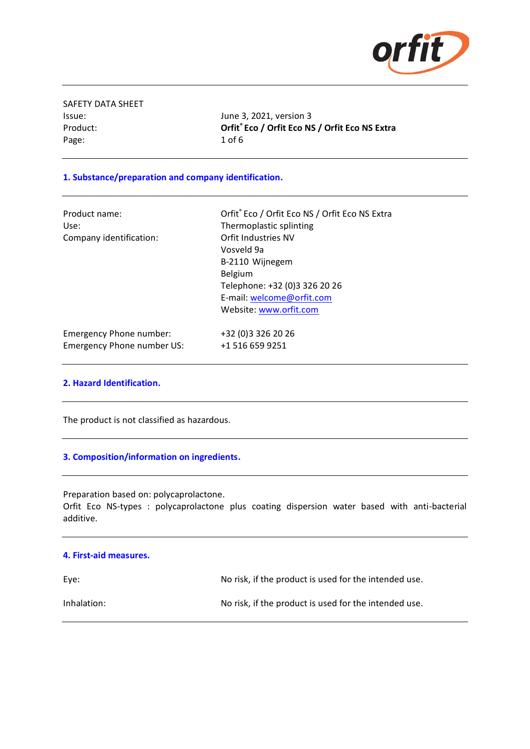

SAFETY DATA SHEET  $Product:$ Page: 1 of 6

Issue: June 3, 2021, version 3 **Eco / Orfit Eco NS / Orfit Eco NS Extra**

## **1. Substance/preparation and company identification.**

| Product name:<br>Use:<br>Company identification: | Orfit® Eco / Orfit Eco NS / Orfit Eco NS Extra<br>Thermoplastic splinting<br>Orfit Industries NV<br>Vosveld 9a<br>B-2110 Wijnegem<br>Belgium<br>Telephone: +32 (0)3 326 20 26<br>E-mail: welcome@orfit.com<br>Website: www.orfit.com |
|--------------------------------------------------|--------------------------------------------------------------------------------------------------------------------------------------------------------------------------------------------------------------------------------------|
| Emergency Phone number:                          | +32 (0) 3 3 2 6 2 0 2 6                                                                                                                                                                                                              |
| Emergency Phone number US:                       | +1 516 659 9251                                                                                                                                                                                                                      |

#### **2. Hazard Identification.**

The product is not classified as hazardous.

#### **3. Composition/information on ingredients.**

Preparation based on: polycaprolactone.

Orfit Eco NS-types : polycaprolactone plus coating dispersion water based with anti-bacterial additive.

| 4. First-aid measures. |                                                       |
|------------------------|-------------------------------------------------------|
| Eve:                   | No risk, if the product is used for the intended use. |
| Inhalation:            | No risk, if the product is used for the intended use. |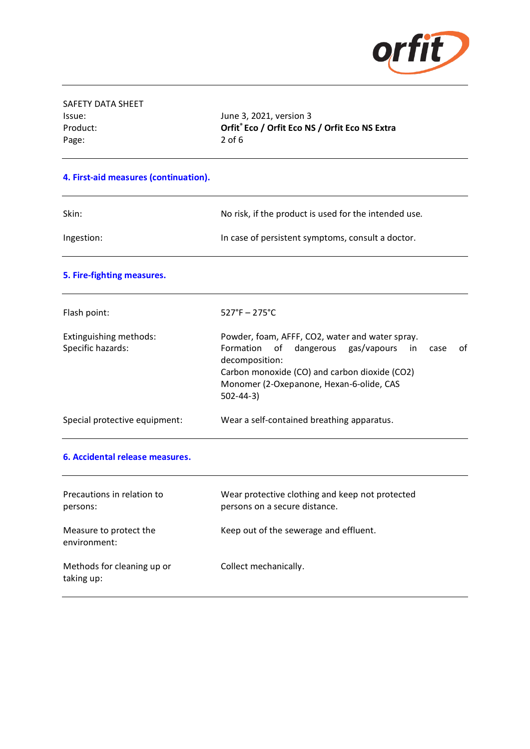

| SAFETY DATA SHEET |                    |
|-------------------|--------------------|
| Issue:            | June 3             |
| Product:          | Orfit <sup>®</sup> |
| Page:             | $2$ of 6           |
|                   |                    |

June 3, 2021, version 3 Product: **Orfit® Eco / Orfit Eco NS / Orfit Eco NS Extra**

## **4. First-aid measures (continuation).**

| Skin:      | No risk, if the product is used for the intended use. |
|------------|-------------------------------------------------------|
| Ingestion: | In case of persistent symptoms, consult a doctor.     |

## **5. Fire-fighting measures.**

| Flash point:                                | $527^{\circ}F - 275^{\circ}C$                                                                                                                                                                                       |    |
|---------------------------------------------|---------------------------------------------------------------------------------------------------------------------------------------------------------------------------------------------------------------------|----|
| Extinguishing methods:<br>Specific hazards: | Powder, foam, AFFF, CO2, water and water spray.<br>Formation of dangerous gas/vapours<br>in.<br>case<br>decomposition:<br>Carbon monoxide (CO) and carbon dioxide (CO2)<br>Monomer (2-Oxepanone, Hexan-6-olide, CAS | 0f |
|                                             | $502 - 44 - 3$                                                                                                                                                                                                      |    |
| Special protective equipment:               | Wear a self-contained breathing apparatus.                                                                                                                                                                          |    |

#### **6. Accidental release measures.**

| Precautions in relation to<br>persons:   | Wear protective clothing and keep not protected<br>persons on a secure distance. |
|------------------------------------------|----------------------------------------------------------------------------------|
| Measure to protect the<br>environment:   | Keep out of the sewerage and effluent.                                           |
| Methods for cleaning up or<br>taking up: | Collect mechanically.                                                            |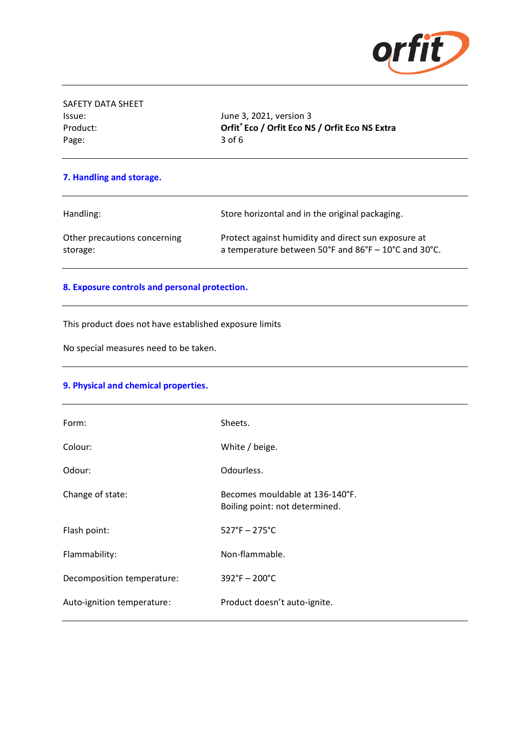

| SAFETY DATA SHEET |
|-------------------|
| Issue:            |
| Product:          |
| Page:             |

June 3, 2021, version 3 Product: **Orfit® Eco / Orfit Eco NS / Orfit Eco NS Extra** 3 of 6

## **7. Handling and storage.**

| Handling:                    | Store horizontal and in the original packaging.      |
|------------------------------|------------------------------------------------------|
| Other precautions concerning | Protect against humidity and direct sun exposure at  |
| storage:                     | a temperature between 50°F and 86°F - 10°C and 30°C. |

### **8. Exposure controls and personal protection.**

This product does not have established exposure limits

No special measures need to be taken.

# **9. Physical and chemical properties.**

| Form:                      | Sheets.                                                           |
|----------------------------|-------------------------------------------------------------------|
| Colour:                    | White / beige.                                                    |
| Odour:                     | Odourless.                                                        |
| Change of state:           | Becomes mouldable at 136-140°F.<br>Boiling point: not determined. |
| Flash point:               | $527^{\circ}F - 275^{\circ}C$                                     |
| Flammability:              | Non-flammable.                                                    |
| Decomposition temperature: | $392^{\circ}F - 200^{\circ}C$                                     |
| Auto-ignition temperature: | Product doesn't auto-ignite.                                      |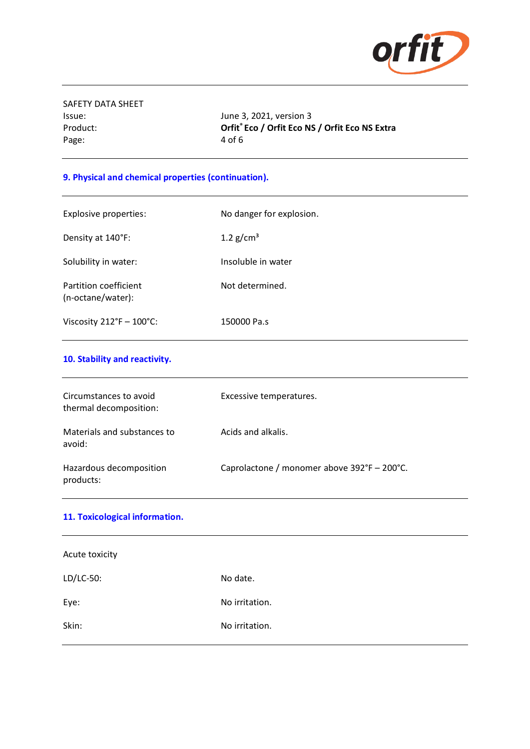

SAFETY DATA SHEET Page: 4 of 6

Issue: June 3, 2021, version 3 Product: **Orfit® Eco / Orfit Eco NS / Orfit Eco NS Extra**

# **9. Physical and chemical properties (continuation).**

| <b>Explosive properties:</b>               | No danger for explosion. |
|--------------------------------------------|--------------------------|
| Density at 140°F:                          | 1.2 $g/cm3$              |
| Solubility in water:                       | Insoluble in water       |
| Partition coefficient<br>(n-octane/water): | Not determined.          |
| Viscosity $212^{\circ}F - 100^{\circ}C$ :  | 150000 Pa.s              |

# **10. Stability and reactivity.**

| Circumstances to avoid<br>thermal decomposition: | Excessive temperatures.                     |
|--------------------------------------------------|---------------------------------------------|
| Materials and substances to<br>avoid:            | Acids and alkalis.                          |
| Hazardous decomposition<br>products:             | Caprolactone / monomer above 392°F - 200°C. |

| 11. Toxicological information. |                |
|--------------------------------|----------------|
| Acute toxicity                 |                |
| LD/LC-50:                      | No date.       |
| Eye:                           | No irritation. |
| Skin:                          | No irritation. |
|                                |                |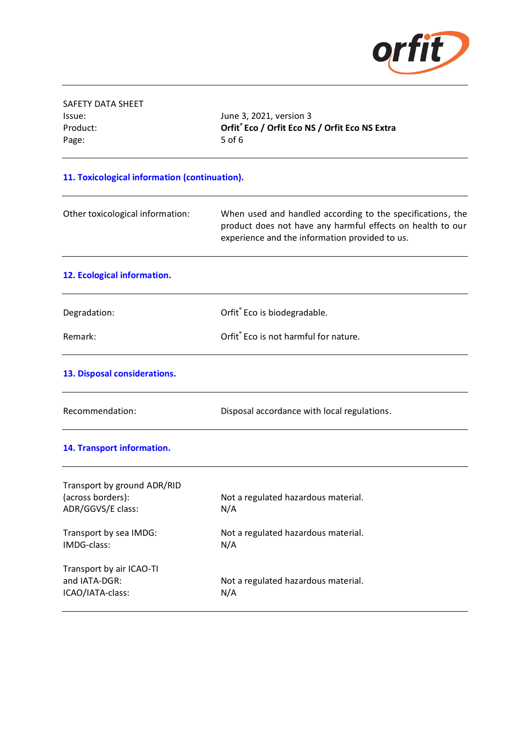

| SAFETY DATA SHEET                                |                                                                                                                                                                            |
|--------------------------------------------------|----------------------------------------------------------------------------------------------------------------------------------------------------------------------------|
| Issue:                                           | June 3, 2021, version 3                                                                                                                                                    |
| Product:                                         | Orfit® Eco / Orfit Eco NS / Orfit Eco NS Extra                                                                                                                             |
| Page:                                            | 5 of 6                                                                                                                                                                     |
| 11. Toxicological information (continuation).    |                                                                                                                                                                            |
| Other toxicological information:                 | When used and handled according to the specifications, the<br>product does not have any harmful effects on health to our<br>experience and the information provided to us. |
| 12. Ecological information.                      |                                                                                                                                                                            |
| Degradation:                                     | Orfit® Eco is biodegradable.                                                                                                                                               |
| Remark:                                          | Orfit® Eco is not harmful for nature.                                                                                                                                      |
| 13. Disposal considerations.                     |                                                                                                                                                                            |
| Recommendation:                                  | Disposal accordance with local regulations.                                                                                                                                |
| 14. Transport information.                       |                                                                                                                                                                            |
| Transport by ground ADR/RID<br>(across borders): | Not a regulated hazardous material.                                                                                                                                        |
| ADR/GGVS/E class:                                | N/A                                                                                                                                                                        |
| Transport by sea IMDG:<br>IMDG-class:            | Not a regulated hazardous material.<br>N/A                                                                                                                                 |
| Transport by air ICAO-TI<br>and IATA-DGR:        |                                                                                                                                                                            |
| ICAO/IATA-class:                                 | Not a regulated hazardous material.<br>N/A                                                                                                                                 |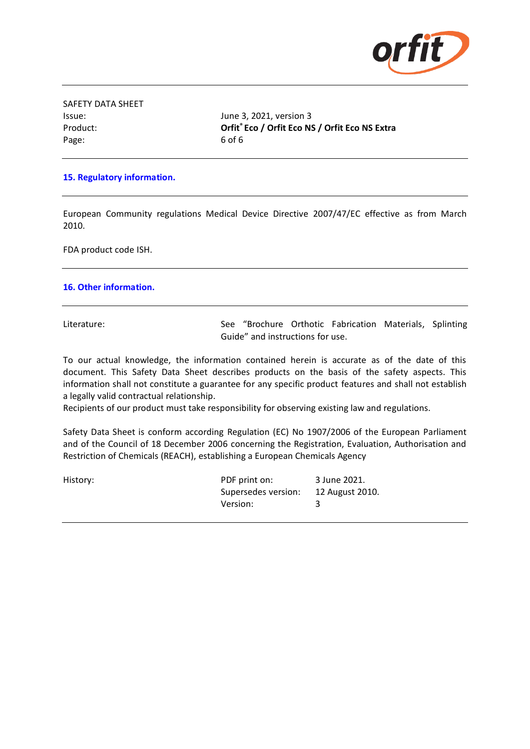

| SAFETY DATA SHEET |
|-------------------|
| lssue:            |
| Product:          |
| Page:             |

June 3, 2021, version 3 Product: **Orfit® Eco / Orfit Eco NS / Orfit Eco NS Extra** 6 of 6

### **15. Regulatory information.**

European Community regulations Medical Device Directive 2007/47/EC effective as from March 2010.

FDA product code ISH.

#### **16. Other information.**

Literature: See "Brochure Orthotic Fabrication Materials, Splinting Guide" and instructions for use.

To our actual knowledge, the information contained herein is accurate as of the date of this document. This Safety Data Sheet describes products on the basis of the safety aspects. This information shall not constitute a guarantee for any specific product features and shall not establish a legally valid contractual relationship.

Recipients of our product must take responsibility for observing existing law and regulations.

Safety Data Sheet is conform according Regulation (EC) No 1907/2006 of the European Parliament and of the Council of 18 December 2006 concerning the Registration, Evaluation, Authorisation and Restriction of Chemicals (REACH), establishing a European Chemicals Agency

| History: | PDF print on:       | 3 June 2021.    |
|----------|---------------------|-----------------|
|          | Supersedes version: | 12 August 2010. |
|          | Version:            |                 |
|          |                     |                 |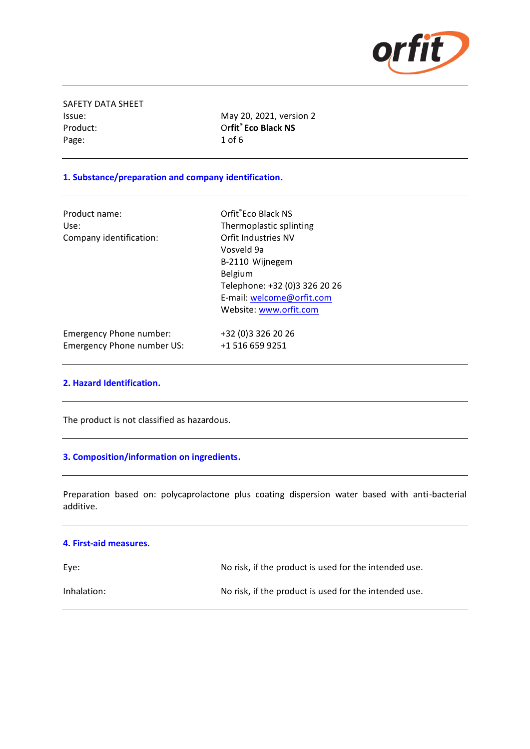

SAFETY DATA SHEET Product: Page: 1 of 6

Issue: May 20, 2021, version 2 **Orfit<sup>®</sup>** Eco Black NS

### **1. Substance/preparation and company identification.**

| Product name:           | Orfit <sup>®</sup> Eco Black NS |
|-------------------------|---------------------------------|
| Use:                    | Thermoplastic spl               |
| Company identification: | Orfit Industries N\             |
|                         | Vosveld 9a                      |

Thermoplastic splinting Orfit Industries NV Vosveld 9a B-2110 Wijnegem Belgium Telephone: +32 (0)3 326 20 26 E-mail: [welcome@orfit.com](mailto:welcome@orfit.com) Website[: www.orfit.com](http://www.orfit.com/)

| Emergency Phone number:    | +32 (0) 3 3 2 6 2 0 2 6 |
|----------------------------|-------------------------|
| Emergency Phone number US: | +1 516 659 9251         |

#### **2. Hazard Identification.**

The product is not classified as hazardous.

#### **3. Composition/information on ingredients.**

Preparation based on: polycaprolactone plus coating dispersion water based with anti-bacterial additive.

#### **4. First-aid measures.**

| Eye:        | No risk, if the product is used for the intended use. |
|-------------|-------------------------------------------------------|
| Inhalation: | No risk, if the product is used for the intended use. |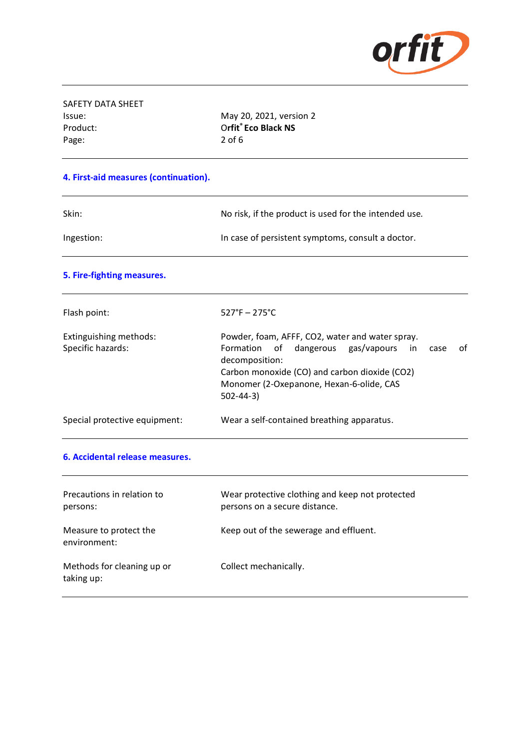

| SAFETY DATA SHEET |                     |
|-------------------|---------------------|
| Issue:            | May 20, 2021, vers  |
| Product:          | Orfit® Eco Black NS |
| Page:             | $2$ of 6            |
|                   |                     |

May 20, 2021, version 2

## **4. First-aid measures (continuation).**

| Skin:      | No risk, if the product is used for the intended use. |
|------------|-------------------------------------------------------|
| Ingestion: | In case of persistent symptoms, consult a doctor.     |

## **5. Fire-fighting measures.**

| Flash point:                                | $527^{\circ}F - 275^{\circ}C$                                                                                                                                                                                                                |
|---------------------------------------------|----------------------------------------------------------------------------------------------------------------------------------------------------------------------------------------------------------------------------------------------|
| Extinguishing methods:<br>Specific hazards: | Powder, foam, AFFF, CO2, water and water spray.<br>of<br>Formation of dangerous gas/vapours<br>in l<br>case<br>decomposition:<br>Carbon monoxide (CO) and carbon dioxide (CO2)<br>Monomer (2-Oxepanone, Hexan-6-olide, CAS<br>$502 - 44 - 3$ |
| Special protective equipment:               | Wear a self-contained breathing apparatus.                                                                                                                                                                                                   |

#### **6. Accidental release measures.**

| Precautions in relation to<br>persons:   | Wear protective clothing and keep not protected<br>persons on a secure distance. |
|------------------------------------------|----------------------------------------------------------------------------------|
| Measure to protect the<br>environment:   | Keep out of the sewerage and effluent.                                           |
| Methods for cleaning up or<br>taking up: | Collect mechanically.                                                            |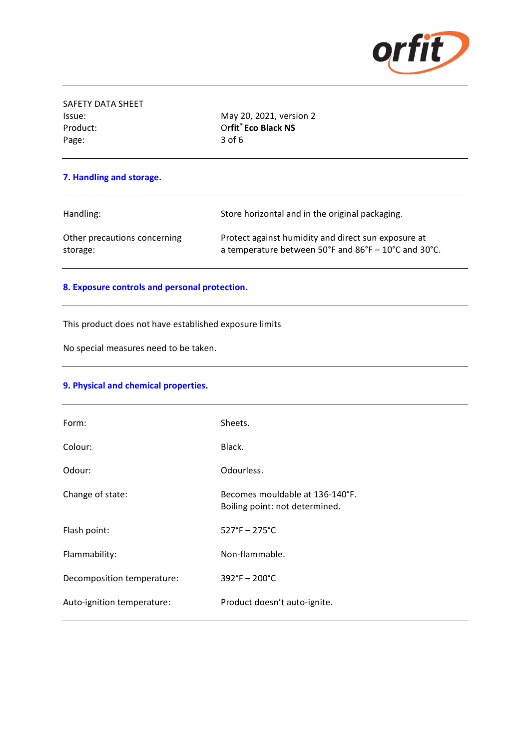

| SAFETY DATA SHEET |                     |
|-------------------|---------------------|
| Issue:            | May 20, 2021, vers  |
| Product:          | Orfit® Eco Black NS |
| Page:             | 3 of 6              |

May 20, 2021, version 2

### **7. Handling and storage.**

Handling: Store horizontal and in the original packaging. Other precautions concerning Protect against humidity and direct sun exposure at storage: a temperature between 50°F and 86°F – 10°C and 30°C.

### **8. Exposure controls and personal protection.**

This product does not have established exposure limits

No special measures need to be taken.

### **9. Physical and chemical properties.**

| Form:                      | Sheets.                                                           |
|----------------------------|-------------------------------------------------------------------|
| Colour:                    | Black.                                                            |
| Odour:                     | Odourless.                                                        |
| Change of state:           | Becomes mouldable at 136-140°F.<br>Boiling point: not determined. |
| Flash point:               | $527^{\circ}F - 275^{\circ}C$                                     |
| Flammability:              | Non-flammable.                                                    |
| Decomposition temperature: | $392^{\circ}F - 200^{\circ}C$                                     |
| Auto-ignition temperature: | Product doesn't auto-ignite.                                      |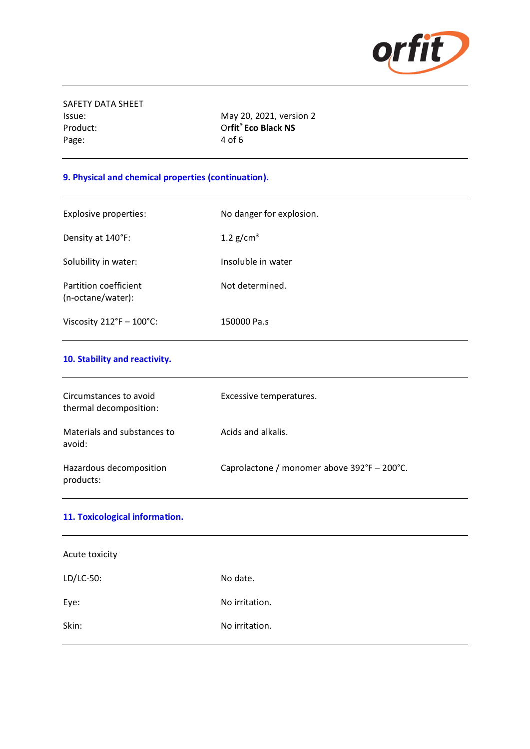

SAFETY DATA SHEET Issue: May 20, 2021, version 2 Product: Page: 4 of 6

**Orfit<sup>®</sup>** Eco Black NS

# **9. Physical and chemical properties (continuation).**

| Explosive properties:                      | No danger for explosion. |
|--------------------------------------------|--------------------------|
| Density at 140°F:                          | 1.2 $g/cm3$              |
| Solubility in water:                       | Insoluble in water       |
| Partition coefficient<br>(n-octane/water): | Not determined.          |
| Viscosity $212^{\circ}F - 100^{\circ}C$ :  | 150000 Pa.s              |

# **10. Stability and reactivity.**

| Circumstances to avoid<br>thermal decomposition: | Excessive temperatures.                     |
|--------------------------------------------------|---------------------------------------------|
| Materials and substances to<br>avoid:            | Acids and alkalis.                          |
| Hazardous decomposition<br>products:             | Caprolactone / monomer above 392°F - 200°C. |

| 11. Toxicological information. |                |
|--------------------------------|----------------|
| Acute toxicity                 |                |
| LD/LC-50:                      | No date.       |
| Eye:                           | No irritation. |
| Skin:                          | No irritation. |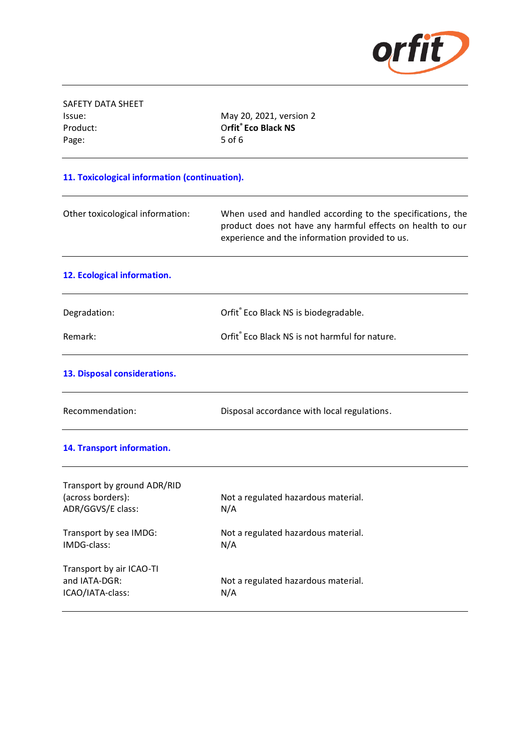

| May 20, 2021, version 2                                                                                                                                                    |  |  |  |  |
|----------------------------------------------------------------------------------------------------------------------------------------------------------------------------|--|--|--|--|
| Orfit® Eco Black NS                                                                                                                                                        |  |  |  |  |
| 5 of 6                                                                                                                                                                     |  |  |  |  |
| 11. Toxicological information (continuation).                                                                                                                              |  |  |  |  |
| When used and handled according to the specifications, the<br>product does not have any harmful effects on health to our<br>experience and the information provided to us. |  |  |  |  |
|                                                                                                                                                                            |  |  |  |  |
| Orfit® Eco Black NS is biodegradable.                                                                                                                                      |  |  |  |  |
| Orfit® Eco Black NS is not harmful for nature.                                                                                                                             |  |  |  |  |
|                                                                                                                                                                            |  |  |  |  |
| Disposal accordance with local regulations.                                                                                                                                |  |  |  |  |
|                                                                                                                                                                            |  |  |  |  |
|                                                                                                                                                                            |  |  |  |  |
| Not a regulated hazardous material.                                                                                                                                        |  |  |  |  |
| N/A                                                                                                                                                                        |  |  |  |  |
| Not a regulated hazardous material.                                                                                                                                        |  |  |  |  |
| N/A                                                                                                                                                                        |  |  |  |  |
|                                                                                                                                                                            |  |  |  |  |
| Not a regulated hazardous material.                                                                                                                                        |  |  |  |  |
| N/A                                                                                                                                                                        |  |  |  |  |
|                                                                                                                                                                            |  |  |  |  |